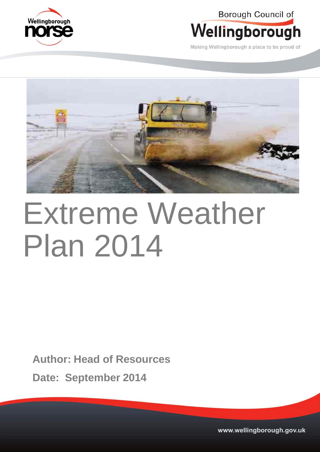

Borough Council of



Making Wellingborough a place to be proud of



# Extreme Weather Plan 2014

**Author: Head of Resources**

**Date: September 2014**

Swanspool House, Doddington Road, Wellingborough, Northamptonshire, NN8 1933 22977 DX 12977 DX 12977 DX 12977 DX 12977 WWW.wellingborough.gov.uk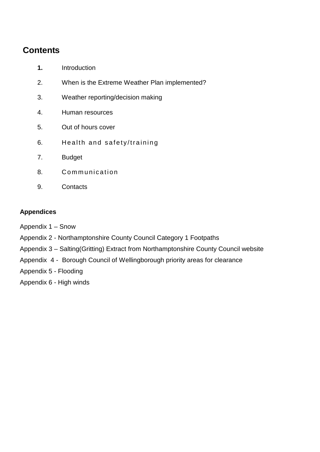## **Contents**

- **1.** Introduction
- 2. When is the Extreme Weather Plan implemented?
- 3. Weather reporting/decision making
- 4. Human resources
- 5. Out of hours cover
- 6. Health and safety/training
- 7. Budget
- 8. Communication
- 9. Contacts

## **Appendices**

- Appendix 1 Snow
- Appendix 2 Northamptonshire County Council Category 1 Footpaths
- Appendix 3 Salting(Gritting) Extract from Northamptonshire County Council website
- Appendix 4 Borough Council of Wellingborough priority areas for clearance
- Appendix 5 Flooding
- Appendix 6 High winds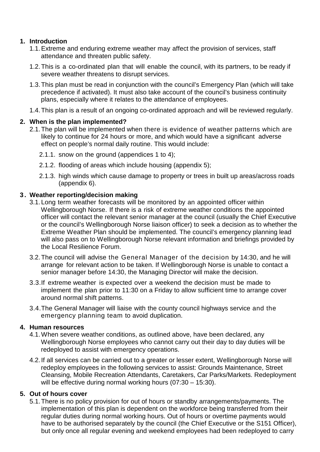## **1. Introduction**

- 1.1.Extreme and enduring extreme weather may affect the provision of services, staff attendance and threaten public safety.
- 1.2.This is a co-ordinated plan that will enable the council, with its partners, to be ready if severe weather threatens to disrupt services.
- 1.3.This plan must be read in conjunction with the council's Emergency Plan (which will take precedence if activated). It must also take account of the council's business continuity plans, especially where it relates to the attendance of employees.
- 1.4.This plan is a result of an ongoing co-ordinated approach and will be reviewed regularly.

## **2. When is the plan implemented?**

- 2.1.The plan will be implemented when there is evidence of weather patterns which are likely to continue for 24 hours or more, and which would have a significant adverse effect on people's normal daily routine. This would include:
	- 2.1.1. snow on the ground (appendices 1 to 4);
	- 2.1.2. flooding of areas which include housing (appendix 5);
	- 2.1.3. high winds which cause damage to property or trees in built up areas/across roads (appendix 6).

## **3 . Weather reporting/decision making**

- 3.1.Long term weather forecasts will be monitored by an appointed officer within Wellingborough Norse. If there is a risk of extreme weather conditions the appointed officer will contact the relevant senior manager at the council (usually the Chief Executive or the council's Wellingborough Norse liaison officer) to seek a decision as to whether the Extreme Weather Plan should be implemented. The council's emergency planning lead will also pass on to Wellingborough Norse relevant information and briefings provided by the Local Resilience Forum.
- 3.2.The council will advise the General Manager of the decision by 14:30, and he will arrange for relevant action to be taken. If Wellingborough Norse is unable to contact a senior manager before 14:30, the Managing Director will make the decision.
- 3.3.If extreme weather is expected over a weekend the decision must be made to implement the plan prior to 11:30 on a Friday to allow sufficient time to arrange cover around normal shift patterns.
- 3.4.The General Manager will liaise with the county council highways service and the emergency planning team to avoid duplication.

## **4. Human resources**

- 4.1.When severe weather conditions, as outlined above, have been declared, any Wellingborough Norse employees who cannot carry out their day to day duties will be redeployed to assist with emergency operations.
- 4.2.If all services can be carried out to a greater or lesser extent, Wellingborough Norse will redeploy employees in the following services to assist: Grounds Maintenance, Street Cleansing, Mobile Recreation Attendants, Caretakers, Car Parks/Markets. Redeployment will be effective during normal working hours (07:30 – 15:30).

## **5. Out of hours cover**

5.1.There is no policy provision for out of hours or standby arrangements/payments. The implementation of this plan is dependent on the workforce being transferred from their regular duties during normal working hours. Out of hours or overtime payments would have to be authorised separately by the council (the Chief Executive or the S151 Officer), but only once all regular evening and weekend employees had been redeployed to carry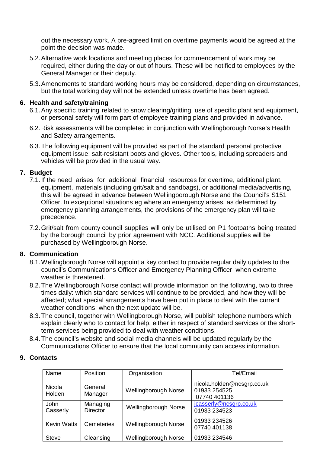out the necessary work. A pre-agreed limit on overtime payments would be agreed at the point the decision was made.

- 5.2.Alternative work locations and meeting places for commencement of work may be required, either during the day or out of hours. These will be notified to employees by the General Manager or their deputy.
- 5.3.Amendments to standard working hours may be considered, depending on circumstances, but the total working day will not be extended unless overtime has been agreed.

#### **6. Health and safety/training**

- 6.1.Any specific training related to snow clearing/gritting, use of specific plant and equipment, or personal safety will form part of employee training plans and provided in advance.
- 6.2.Risk assessments will be completed in conjunction with Wellingborough Norse's Health and Safety arrangements.
- 6.3.The following equipment will be provided as part of the standard personal protective equipment issue: salt-resistant boots and gloves. Other tools, including spreaders and vehicles will be provided in the usual way.

## **7. Budget**

- 7.1.If the need arises for additional financial resources for overtime, additional plant, equipment, materials (including grit/salt and sandbags), or additional media/advertising, this will be agreed in advance between Wellingborough Norse and the Council's S151 Officer. In exceptional situations eg where an emergency arises, as determined by emergency planning arrangements, the provisions of the emergency plan will take precedence.
- 7.2.Grit/salt from county council supplies will only be utilised on P1 footpaths being treated by the borough council by prior agreement with NCC. Additional supplies will be purchased by Wellingborough Norse.

## **8. Communication**

- 8.1.Wellingborough Norse will appoint a key contact to provide regular daily updates to the council's Communications Officer and Emergency Planning Officer when extreme weather is threatened.
- 8.2.The Wellingborough Norse contact will provide information on the following, two to three times daily: which standard services will continue to be provided, and how they will be affected; what special arrangements have been put in place to deal with the current weather conditions; when the next update will be.
- 8.3.The council, together with Wellingborough Norse, will publish telephone numbers which explain clearly who to contact for help, either in respect of standard services or the shortterm services being provided to deal with weather conditions.
- 8.4.The council's website and social media channels will be updated regularly by the Communications Officer to ensure that the local community can access information.

#### **9. Contacts**

| Name                    | Position                    | Organisation         | Tel/Email                                                  |
|-------------------------|-----------------------------|----------------------|------------------------------------------------------------|
| <b>Nicola</b><br>Holden | General<br>Manager          | Wellingborough Norse | nicola.holden@ncsgrp.co.uk<br>01933 254525<br>07740 401136 |
| John<br>Casserly        | Managing<br><b>Director</b> | Wellingborough Norse | jcasserly@ncsgrp.co.uk<br>01933 234523                     |
| <b>Kevin Watts</b>      | <b>Cemeteries</b>           | Wellingborough Norse | 01933 234526<br>07740 401138                               |
| <b>Steve</b>            | Cleansing                   | Wellingborough Norse | 01933 234546                                               |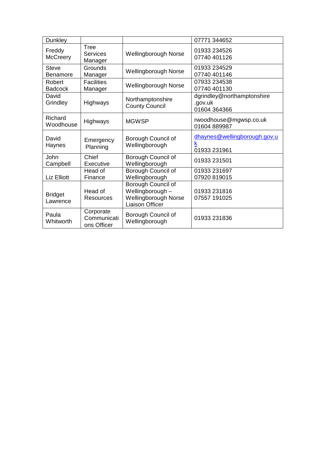| Dunkley                    |                                         |                                                                                          | 07771 344652                                          |
|----------------------------|-----------------------------------------|------------------------------------------------------------------------------------------|-------------------------------------------------------|
| Freddy<br><b>McCreery</b>  | Tree<br><b>Services</b><br>Manager      | Wellingborough Norse                                                                     | 01933 234526<br>07740 401126                          |
| <b>Steve</b><br>Benamore   | Grounds<br>Manager                      | Wellingborough Norse                                                                     | 01933 234529<br>07740 401146                          |
| Robert<br><b>Badcock</b>   | <b>Facilities</b><br>Manager            | <b>Wellingborough Norse</b>                                                              | 07933 234538<br>07740 401130                          |
| David<br>Grindley          | <b>Highways</b>                         | Northamptonshire<br><b>County Council</b>                                                | dgrindley@northamptonshire<br>.gov.uk<br>01604 364366 |
| Richard<br>Woodhouse       | Highways                                | <b>MGWSP</b>                                                                             | rwoodhouse@mgwsp.co.uk<br>01604 889987                |
| David<br>Haynes            | Emergency<br>Planning                   | Borough Council of<br>Wellingborough                                                     | dhaynes@wellingborough.gov.u<br>k<br>01933 231961     |
| John<br>Campbell           | Chief<br>Executive                      | Borough Council of<br>Wellingborough                                                     | 01933 231501                                          |
| Liz Elliott                | Head of<br>Finance                      | Borough Council of<br>Wellingborough                                                     | 01933 231697<br>07920 819015                          |
| <b>Bridget</b><br>Lawrence | Head of<br>Resources                    | Borough Council of<br>Wellingborough -<br>Wellingborough Norse<br><b>Liaison Officer</b> | 01933 231816<br>07557 191025                          |
| Paula<br>Whitworth         | Corporate<br>Communicati<br>ons Officer | Borough Council of<br>Wellingborough                                                     | 01933 231836                                          |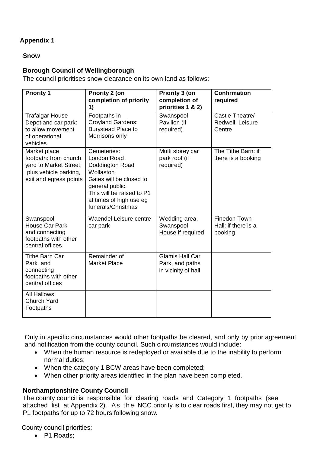#### **Snow**

## **Borough Council of Wellingborough**

The council prioritises snow clearance on its own land as follows:

| <b>Priority 1</b>                                                                                                  | Priority 2 (on<br>completion of priority<br>1)                                                                                                                                         | Priority 3 (on<br>completion of<br>priorities 1 & 2)             | Confirmation<br>required                       |
|--------------------------------------------------------------------------------------------------------------------|----------------------------------------------------------------------------------------------------------------------------------------------------------------------------------------|------------------------------------------------------------------|------------------------------------------------|
| <b>Trafalgar House</b><br>Depot and car park:<br>to allow movement<br>of operational<br>vehicles                   | Footpaths in<br><b>Croyland Gardens:</b><br><b>Burystead Place to</b><br>Morrisons only                                                                                                | Swanspool<br>Pavilion (if<br>required)                           | Castle Theatre/<br>Redwell Leisure<br>Centre   |
| Market place<br>footpath: from church<br>yard to Market Street,<br>plus vehicle parking,<br>exit and egress points | Cemeteries:<br>London Road<br>Doddington Road<br>Wollaston<br>Gates will be closed to<br>general public.<br>This will be raised to P1<br>at times of high use eg<br>funerals/Christmas | Multi storey car<br>park roof (if<br>required)                   | The Tithe Barn: if<br>there is a booking       |
| Swanspool<br><b>House Car Park</b><br>and connecting<br>footpaths with other<br>central offices                    | Waendel Leisure centre<br>car park                                                                                                                                                     | Wedding area,<br>Swanspool<br>House if required                  | Finedon Town<br>Hall: if there is a<br>booking |
| <b>Tithe Barn Car</b><br>Park and<br>connecting<br>footpaths with other<br>central offices                         | Remainder of<br><b>Market Place</b>                                                                                                                                                    | <b>Glamis Hall Car</b><br>Park, and paths<br>in vicinity of hall |                                                |
| <b>All Hallows</b><br><b>Church Yard</b><br>Footpaths                                                              |                                                                                                                                                                                        |                                                                  |                                                |

Only in specific circumstances would other footpaths be cleared, and only by prior agreement and notification from the county council. Such circumstances would include:

- When the human resource is redeployed or available due to the inability to perform normal duties;
- When the category 1 BCW areas have been completed;
- When other priority areas identified in the plan have been completed.

## **Northamptonshire County Council**

The county council is responsible for clearing roads and Category 1 footpaths (see attached list at Appendix 2). As the NCC priority is to clear roads first, they may not get to P1 footpaths for up to 72 hours following snow.

County council priorities:

• P1 Roads: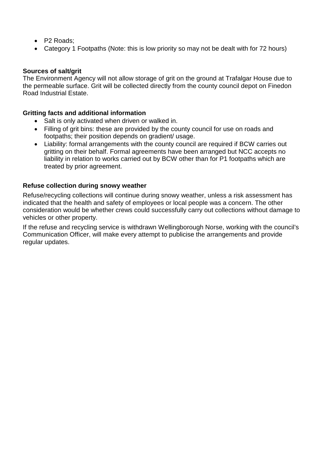- P2 Roads;
- Category 1 Footpaths (Note: this is low priority so may not be dealt with for 72 hours)

#### **Sources of salt/grit**

The Environment Agency will not allow storage of grit on the ground at Trafalgar House due to the permeable surface. Grit will be collected directly from the county council depot on Finedon Road Industrial Estate.

#### **Gritting facts and additional information**

- Salt is only activated when driven or walked in.
- Filling of grit bins: these are provided by the county council for use on roads and footpaths; their position depends on gradient/ usage.
- Liability: formal arrangements with the county council are required if BCW carries out gritting on their behalf. Formal agreements have been arranged but NCC accepts no liability in relation to works carried out by BCW other than for P1 footpaths which are treated by prior agreement.

#### **Refuse collection during snowy weather**

Refuse/recycling collections will continue during snowy weather, unless a risk assessment has indicated that the health and safety of employees or local people was a concern. The other consideration would be whether crews could successfully carry out collections without damage to vehicles or other property.

If the refuse and recycling service is withdrawn Wellingborough Norse, working with the council's Communication Officer, will make every attempt to publicise the arrangements and provide regular updates.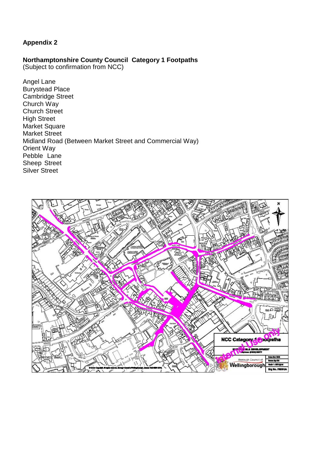## **Northamptonshire County Council Category 1 Footpaths**

(Subject to confirmation from NCC)

Angel Lane Burystead Place Cambridge Street Church Way Church Street High Street Market Square Market Street Midland Road (Between Market Street and Commercial Way) Orient Way Pebble Lane Sheep Street Silver Street

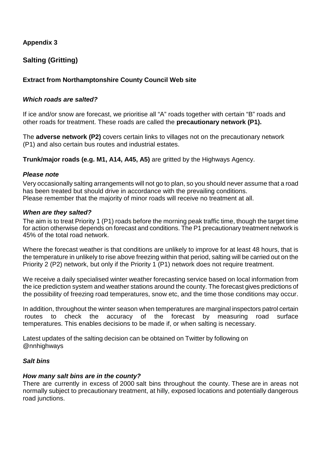## **Salting (Gritting)**

## **Extract from Northamptonshire County Council Web site**

#### *Which roads are salted?*

If ice and/or snow are forecast, we prioritise all "A" roads together with certain "B" roads and other roads for treatment. These roads are called the **precautionary network (P1).** 

The **adverse network (P2)** covers certain links to villages not on the precautionary network (P1) and also certain bus routes and industrial estates.

**Trunk/major roads (e.g. M1, A14, A45, A5)** are gritted by the Highways Agency.

#### *Please note*

Very occasionally salting arrangements will not go to plan, so you should never assume that a road has been treated but should drive in accordance with the prevailing conditions. Please remember that the majority of minor roads will receive no treatment at all.

#### *When are they salted?*

The aim is to treat Priority 1 (P1) roads before the morning peak traffic time, though the target time for action otherwise depends on forecast and conditions. The P1 precautionary treatment network is 45% of the total road network.

Where the forecast weather is that conditions are unlikely to improve for at least 48 hours, that is the temperature in unlikely to rise above freezing within that period, salting will be carried out on the Priority 2 (P2) network, but only if the Priority 1 (P1) network does not require treatment.

We receive a daily specialised winter weather forecasting service based on local information from the ice prediction system and weather stations around the county. The forecast gives predictions of the possibility of freezing road temperatures, snow etc, and the time those conditions may occur.

In addition, throughout the winter season when temperatures are marginal inspectors patrol certain<br>routes to check the accuracy of the forecast by measuring road surface routes to check the accuracy of the forecast by measuring road surface temperatures. This enables decisions to be made if, or when salting is necessary.

Latest updates of the salting decision can be obtained on Twitter by following on @nnhighways

## *Salt bins*

#### *How many salt bins are in the county?*

There are currently in excess of 2000 salt bins throughout the county. These are in areas not normally subject to precautionary treatment, at hilly, exposed locations and potentially dangerous road junctions.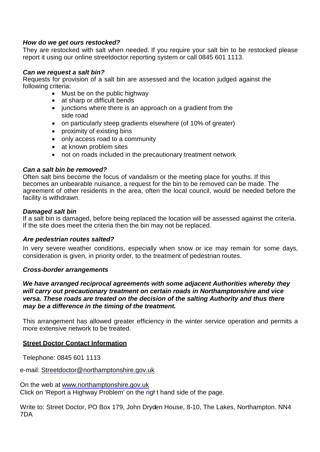#### *How do we get ours restocked?*

They are restocked with salt when needed. If you require your salt bin to be restocked please report it using our online [streetdoctor](http://www3.northamptonshire.gov.uk/Transport/PEM/) reporting system or call 0845 601 [1113.](http://www3.northamptonshire.gov.uk/Transport/PEM/)

#### *Can we request a salt bin?*

Requests for provision of a salt bin are assessed and the location judged against the following criteria:

- Must be on the public highway
- at sharp or difficult bends
- junctions where there is an approach on a gradient from the side road
- on particularly steep gradients elsewhere (of 10% of greater)
- proximity of existing bins
- only access road to a community
- at known problem sites
- not on roads included in the precautionary treatment network

#### *Can a salt bin be removed?*

Often salt bins become the focus of vandalism or the meeting place for youths. If this becomes an unbearable nuisance, a request for the bin to be removed can be made. The agreement of other residents in the area, often the local council, would be needed before the facility is withdrawn.

#### *Damaged salt bin*

If a salt bin is damaged, before being replaced the location will be assessed against the criteria. If the site does meet the criteria then the bin may not be replaced.

#### *Are pedestrian routes salted?*

In very severe weather conditions, especially when snow or ice may remain for some days, consideration is given, in priority order, to the treatment of pedestrian routes.

#### *Cross-border arrangements*

*We have arranged reciprocal agreements with some adjacent Authorities whereby they will carry out precautionary treatment on certain roads in Northamptonshire and vice versa. These roads are treated on the decision of the salting Authority and thus there may be a difference in the timing of the treatment.*

This arrangement has allowed greater efficiency in the winter service operation and permits a more extensive network to be treated.

#### **Street Doctor Contact Information**

Telephone: 0845 601 1113

e-mail: Streetdoctor@northamptonshire.gov.uk

On the web at [www.northamptonshire.gov.uk](http://www.northamptonshire.gov.uk/) Click on 'Report a Highway Problem' on the right hand side of the page.

Write to: Street Doctor, PO Box 179, John Dryd en House, 8-10, The Lakes, Northampton. NN4 7DA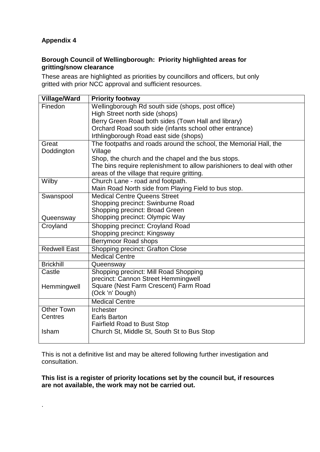.

## **Borough Council of Wellingborough: Priority highlighted areas for gritting/snow clearance**

These areas are highlighted as priorities by councillors and officers, but only gritted with prior NCC approval and sufficient resources.

| Village/Ward        | <b>Priority footway</b>                                                 |
|---------------------|-------------------------------------------------------------------------|
| Finedon             | Wellingborough Rd south side (shops, post office)                       |
|                     | High Street north side (shops)                                          |
|                     | Berry Green Road both sides (Town Hall and library)                     |
|                     | Orchard Road south side (infants school other entrance)                 |
|                     | Irthlingborough Road east side (shops)                                  |
| Great               | The footpaths and roads around the school, the Memorial Hall, the       |
| Doddington          | Village                                                                 |
|                     | Shop, the church and the chapel and the bus stops.                      |
|                     | The bins require replenishment to allow parishioners to deal with other |
|                     | areas of the village that require gritting.                             |
| Wilby               | Church Lane - road and footpath.                                        |
|                     | Main Road North side from Playing Field to bus stop.                    |
| Swanspool           | <b>Medical Centre Queens Street</b>                                     |
|                     | Shopping precinct: Swinburne Road                                       |
|                     | Shopping precinct: Broad Green                                          |
| Queensway           | Shopping precinct: Olympic Way                                          |
| Croyland            | Shopping precinct: Croyland Road                                        |
|                     | Shopping precinct: Kingsway                                             |
|                     | Berrymoor Road shops                                                    |
| <b>Redwell East</b> | <b>Shopping precinct: Grafton Close</b>                                 |
|                     | <b>Medical Centre</b>                                                   |
| <b>Brickhill</b>    | Queensway                                                               |
| Castle              | Shopping precinct: Mill Road Shopping                                   |
|                     | precinct: Cannon Street Hemmingwell                                     |
| Hemmingwell         | Square (Nest Farm Crescent) Farm Road                                   |
|                     | (Ock 'n' Dough)                                                         |
|                     | <b>Medical Centre</b>                                                   |
| <b>Other Town</b>   | <b>Irchester</b>                                                        |
| Centres             | <b>Earls Barton</b>                                                     |
|                     | <b>Fairfield Road to Bust Stop</b>                                      |
| Isham               | Church St, Middle St, South St to Bus Stop                              |
|                     |                                                                         |

This is not a definitive list and may be altered following further investigation and consultation.

**This list is a register of priority locations set by the council but, if resources are not available, the work may not be carried out.**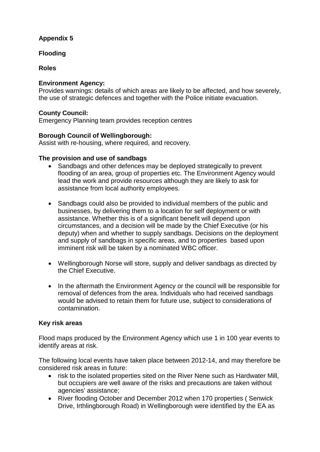## **Flooding**

## **Roles**

## **Environment Agency:**

Provides warnings: details of which areas are likely to be affected, and how severely, the use of strategic defences and together with the Police initiate evacuation.

## **County Council:**

Emergency Planning team provides reception centres

## **Borough Council of Wellingborough:**

Assist with re-housing, where required, and recovery.

## **The provision and use of sandbags**

- Sandbags and other defences may be deployed strategically to prevent flooding of an area, group of properties etc. The Environment Agency would lead the work and provide resources although they are likely to ask for assistance from local authority employees.
- Sandbags could also be provided to individual members of the public and businesses, by delivering them to a location for self deployment or with assistance. Whether this is of a significant benefit will depend upon circumstances, and a decision will be made by the Chief Executive (or his deputy) when and whether to supply sandbags. Decisions on the deployment and supply of sandbags in specific areas, and to properties based upon imminent risk will be taken by a nominated WBC officer.
- Wellingborough Norse will store, supply and deliver sandbags as directed by the Chief Executive.
- In the aftermath the Environment Agency or the council will be responsible for removal of defences from the area. Individuals who had received sandbags would be advised to retain them for future use, subject to considerations of contamination.

## **Key risk areas**

Flood maps produced by the Environment Agency which use 1 in 100 year events to identify areas at risk.

The following local events have taken place between 2012-14, and may therefore be considered risk areas in future:

- risk to the isolated properties sited on the River Nene such as Hardwater Mill, but occupiers are well aware of the risks and precautions are taken without agencies' assistance;
- River flooding October and December 2012 when 170 properties ( Senwick Drive, Irthlingborough Road) in Wellingborough were identified by the EA as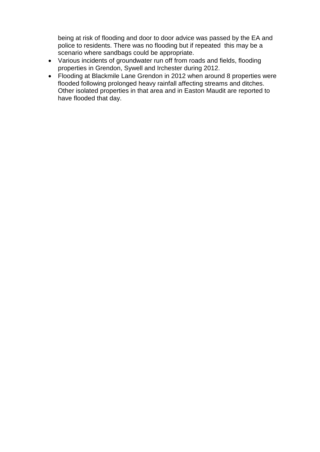being at risk of flooding and door to door advice was passed by the EA and police to residents. There was no flooding but if repeated this may be a scenario where sandbags could be appropriate.

- Various incidents of groundwater run off from roads and fields, flooding properties in Grendon, Sywell and Irchester during 2012.
- Flooding at Blackmile Lane Grendon in 2012 when around 8 properties were flooded following prolonged heavy rainfall affecting streams and ditches. Other isolated properties in that area and in Easton Maudit are reported to have flooded that day.